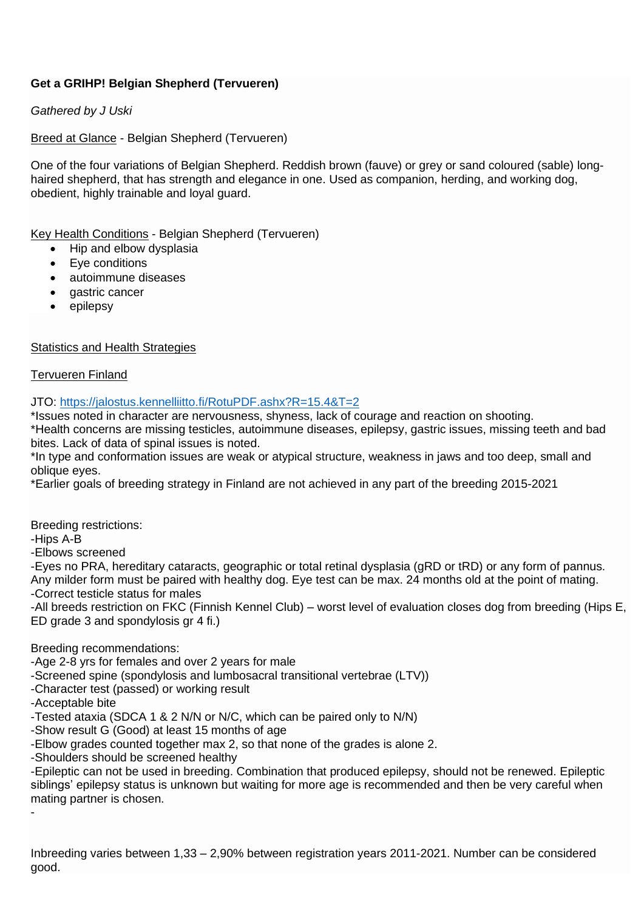# **Get a GRIHP! Belgian Shepherd (Tervueren)**

# *Gathered by J Uski*

Breed at Glance - Belgian Shepherd (Tervueren)

One of the four variations of Belgian Shepherd. Reddish brown (fauve) or grey or sand coloured (sable) longhaired shepherd, that has strength and elegance in one. Used as companion, herding, and working dog, obedient, highly trainable and loyal guard.

Key Health Conditions - Belgian Shepherd (Tervueren)

- Hip and elbow dysplasia
- Eye conditions
- autoimmune diseases
- gastric cancer
- epilepsy

# **Statistics and Health Strategies**

# Tervueren Finland

JTO: https://jalostus.kennelliitto.fi/RotuPDF.ashx?R=15.4&T=2

\*Issues noted in character are nervousness, shyness, lack of courage and reaction on shooting.

\*Health concerns are missing testicles, autoimmune diseases, epilepsy, gastric issues, missing teeth and bad bites. Lack of data of spinal issues is noted.

\*In type and conformation issues are weak or atypical structure, weakness in jaws and too deep, small and oblique eyes.

\*Earlier goals of breeding strategy in Finland are not achieved in any part of the breeding 2015-2021

Breeding restrictions:

-Hips A-B

-Elbows screened

-Eyes no PRA, hereditary cataracts, geographic or total retinal dysplasia (gRD or tRD) or any form of pannus. Any milder form must be paired with healthy dog. Eye test can be max. 24 months old at the point of mating. -Correct testicle status for males

-All breeds restriction on FKC (Finnish Kennel Club) – worst level of evaluation closes dog from breeding (Hips E, ED grade 3 and spondylosis gr 4 fi.)

Breeding recommendations:

-Age 2-8 yrs for females and over 2 years for male

-Screened spine (spondylosis and lumbosacral transitional vertebrae (LTV))

-Character test (passed) or working result

-Acceptable bite

-Tested ataxia (SDCA 1 & 2 N/N or N/C, which can be paired only to N/N)

-Show result G (Good) at least 15 months of age

-Elbow grades counted together max 2, so that none of the grades is alone 2.

-Shoulders should be screened healthy

-Epileptic can not be used in breeding. Combination that produced epilepsy, should not be renewed. Epileptic siblings' epilepsy status is unknown but waiting for more age is recommended and then be very careful when mating partner is chosen.

-

Inbreeding varies between 1,33 – 2,90% between registration years 2011-2021. Number can be considered good.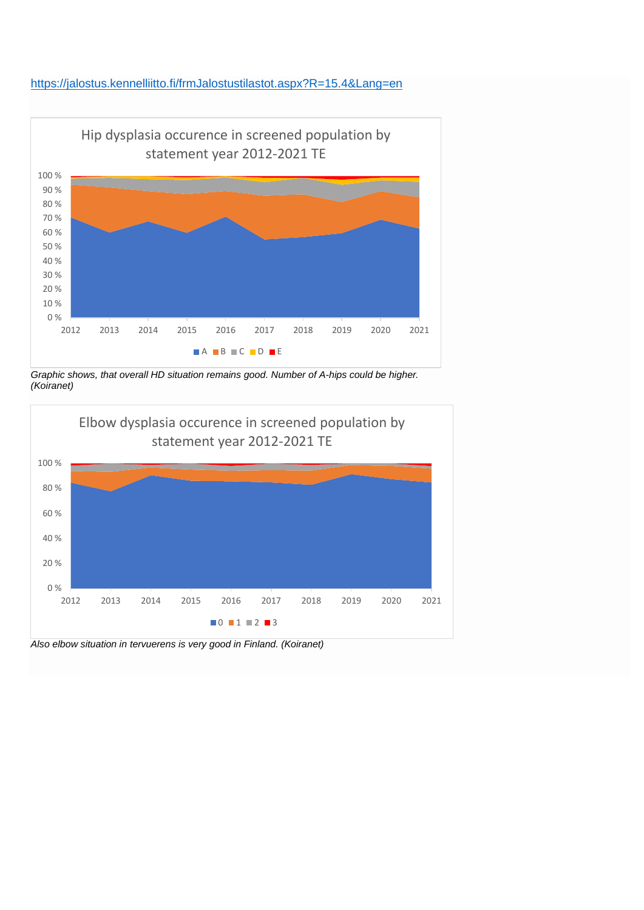# https://jalostus.kennelliitto.fi/frmJalostustilastot.aspx?R=15.4&Lang=en



*Graphic shows, that overall HD situation remains good. Number of A-hips could be higher. (Koiranet)*



*Also elbow situation in tervuerens is very good in Finland. (Koiranet)*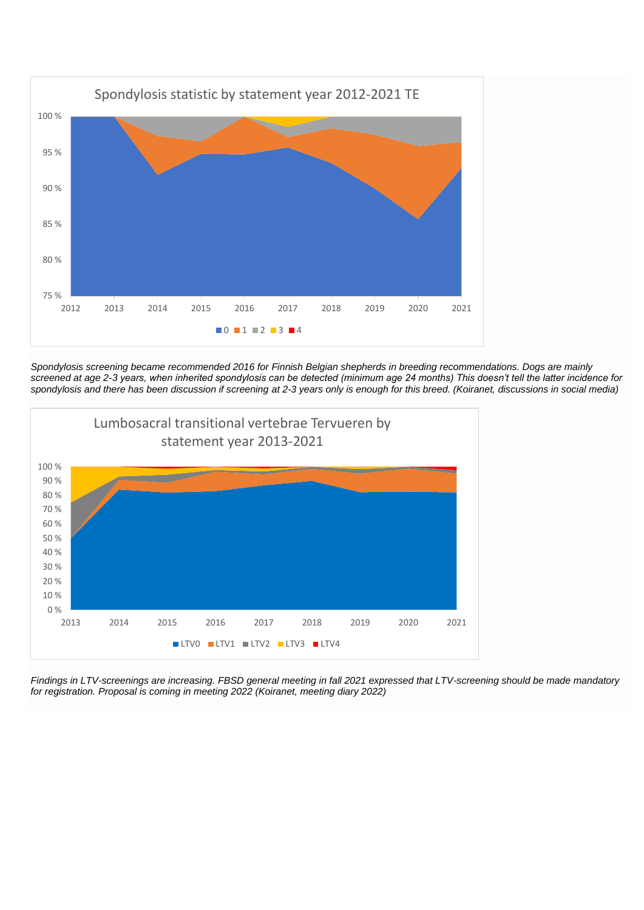

*Spondylosis screening became recommended 2016 for Finnish Belgian shepherds in breeding recommendations. Dogs are mainly screened at age 2-3 years, when inherited spondylosis can be detected (minimum age 24 months) This doesn't tell the latter incidence for spondylosis and there has been discussion if screening at 2-3 years only is enough for this breed. (Koiranet, discussions in social media)*



*Findings in LTV-screenings are increasing. FBSD general meeting in fall 2021 expressed that LTV-screening should be made mandatory for registration. Proposal is coming in meeting 2022 (Koiranet, meeting diary 2022)*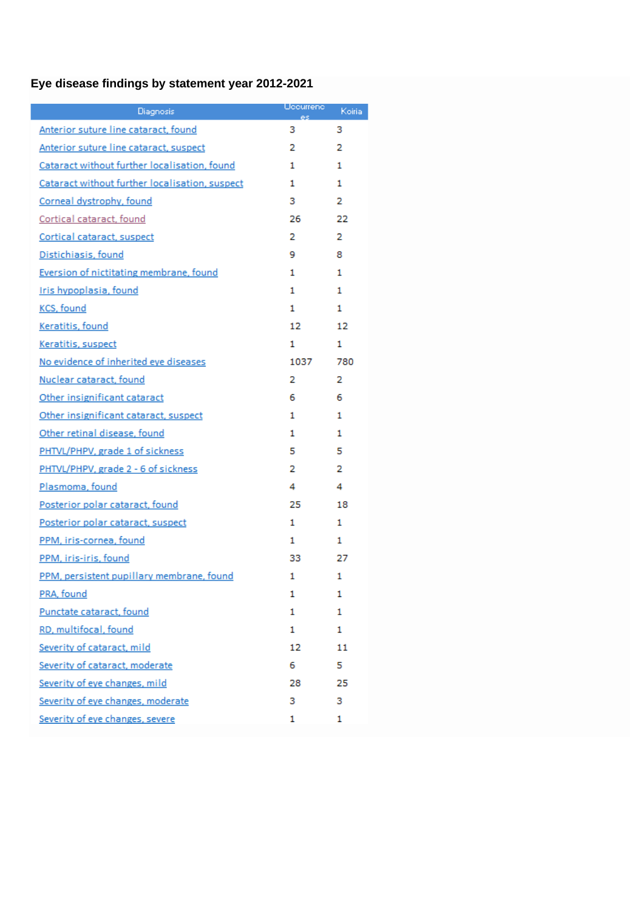# **Eye disease findings by statement year 2012-2021**

| Diagnosis                                      | Uccurrenc:<br>es. | Koiria |
|------------------------------------------------|-------------------|--------|
| Anterior suture line cataract, found           | з                 | з      |
| Anterior suture line cataract, suspect         | 2                 | 2      |
| Cataract without further localisation, found   | 1                 | 1      |
| Cataract without further localisation, suspect | 1                 | 1      |
| Corneal dystrophy, found                       | з                 | 2      |
| Cortical cataract, found                       | 26.               | 22     |
| Cortical cataract, suspect                     | 2                 | 2      |
| Distichiasis, found                            | 9                 | 8      |
| Eversion of nictitating membrane, found        | 1                 | 1      |
| Iris hypoplasia, found                         | 1                 | 1.     |
| KCS, found                                     | 1                 | 1.     |
| Keratitis, found                               | 12                | 12     |
| Keratitis, suspect                             | 1                 | 1      |
| No evidence of inherited eye diseases          | 1037              | 780    |
| Nuclear cataract, found                        | 2                 | 2      |
| Other insignificant cataract                   | 6                 | 6      |
| Other insignificant cataract, suspect          | 1                 | 1      |
| Other retinal disease, found                   | 1                 | 1      |
| PHTVL/PHPV, grade 1 of sickness                | 5                 | 5      |
| PHTVL/PHPV, grade 2 - 6 of sickness            | 2                 | 2      |
| Plasmoma, found                                | 4                 | 4      |
| Posterior polar cataract, found                | 25.               | 18     |
| Posterior polar cataract, suspect              | 1.                | 1      |
| PPM, iris-cornea, found                        | 1                 | 1      |
| PPM, iris-iris, found                          | 33                | 27     |
| PPM, persistent pupillary membrane, found      | 1                 | 1      |
| PRA, found                                     | 1                 | 1      |
| Punctate cataract, found                       | 1                 | 1      |
| RD, multifocal, found                          | 1                 | 1      |
| Severity of cataract, mild                     | 12                | 11     |
| Severity of cataract, moderate                 | 6                 | 5      |
| Severity of eye changes, mild                  | 28.               | 25     |
| Severity of eye changes, moderate              | з                 | з      |
| Severity of eye changes, severe                | 1                 | 1      |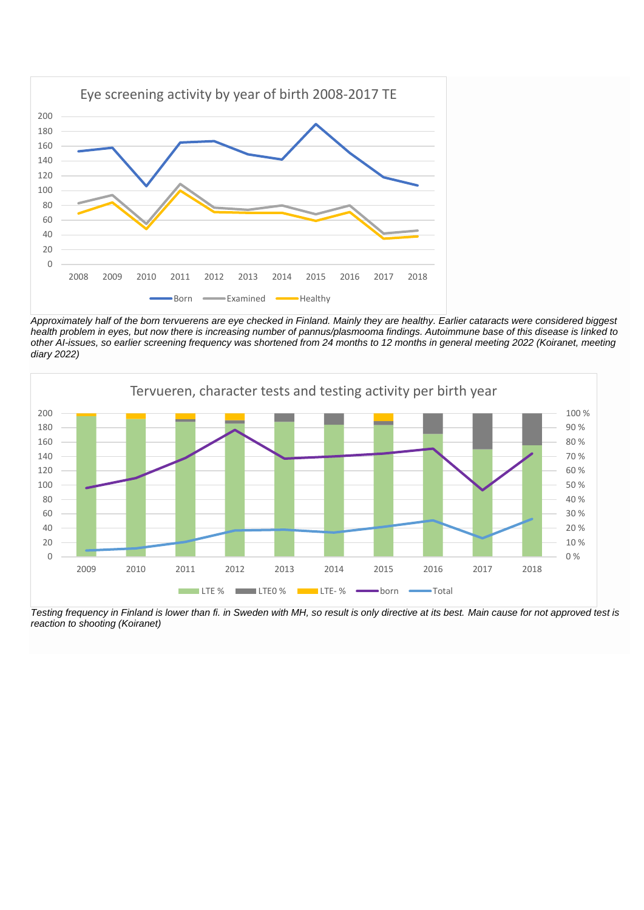

*Approximately half of the born tervuerens are eye checked in Finland. Mainly they are healthy. Earlier cataracts were considered biggest health problem in eyes, but now there is increasing number of pannus/plasmooma findings. Autoimmune base of this disease is linked to other AI-issues, so earlier screening frequency was shortened from 24 months to 12 months in general meeting 2022 (Koiranet, meeting diary 2022)*



*Testing frequency in Finland is lower than fi. in Sweden with MH, so result is only directive at its best. Main cause for not approved test is reaction to shooting (Koiranet)*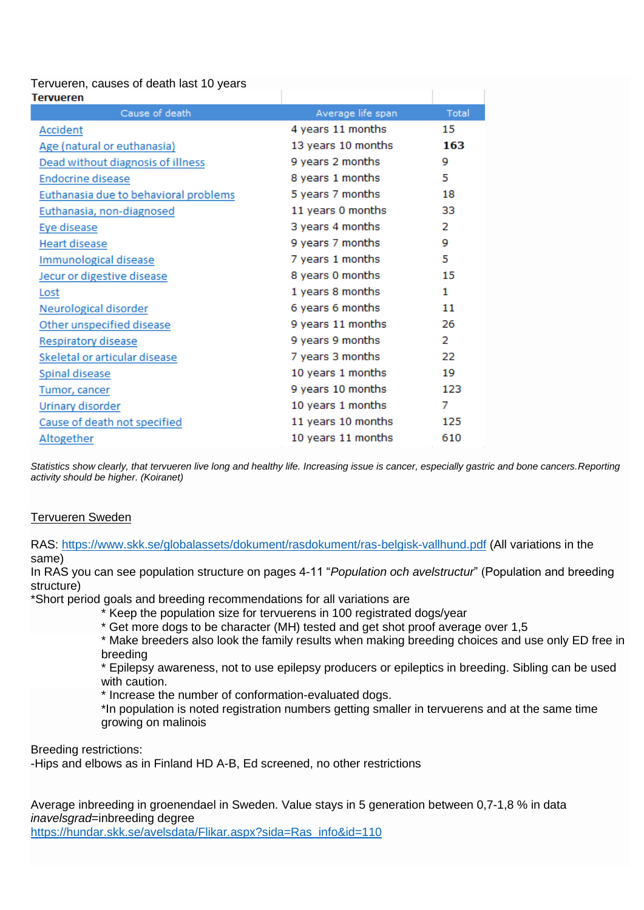# Tervueren, causes of death last 10 years

| rervueren                             |                    |       |
|---------------------------------------|--------------------|-------|
| Cause of death                        | Average life span  | Total |
| Accident                              | 4 years 11 months  | 15    |
| Age (natural or euthanasia)           | 13 years 10 months | 163   |
| Dead without diagnosis of illness     | 9 years 2 months   | 9     |
| Endocrine disease                     | 8 years 1 months   | 5     |
| Euthanasia due to behavioral problems | 5 years 7 months   | 18    |
| Euthanasia, non-diagnosed             | 11 years 0 months  | 33    |
| Eye disease                           | 3 years 4 months   | 2     |
| <b>Heart disease</b>                  | 9 years 7 months   | 9     |
| Immunological disease                 | 7 years 1 months   | 5     |
| Jecur or digestive disease            | 8 years 0 months   | 15    |
| Lost                                  | 1 years 8 months   | 1     |
| Neurological disorder                 | 6 years 6 months   | 11    |
| Other unspecified disease             | 9 years 11 months  | 26    |
| Respiratory disease                   | 9 years 9 months   | 2     |
| Skeletal or articular disease         | 7 years 3 months   | 22    |
| Spinal disease                        | 10 years 1 months  | 19    |
| Tumor, cancer                         | 9 years 10 months  | 123   |
| <b>Urinary disorder</b>               | 10 years 1 months  | 7     |
| Cause of death not specified          | 11 years 10 months | 125   |
| <b>Altogether</b>                     | 10 years 11 months | 610   |

*Statistics show clearly, that tervueren live long and healthy life. Increasing issue is cancer, especially gastric and bone cancers.Reporting activity should be higher. (Koiranet)*

# Tervueren Sweden

RAS: https://www.skk.se/globalassets/dokument/rasdokument/ras-belgisk-vallhund.pdf (All variations in the same)

In RAS you can see population structure on pages 4-11 "*Population och avelstructur*" (Population and breeding structure)

\*Short period goals and breeding recommendations for all variations are

- \* Keep the population size for tervuerens in 100 registrated dogs/year
- \* Get more dogs to be character (MH) tested and get shot proof average over 1,5

\* Make breeders also look the family results when making breeding choices and use only ED free in breeding

\* Epilepsy awareness, not to use epilepsy producers or epileptics in breeding. Sibling can be used with caution.

\* Increase the number of conformation-evaluated dogs.

\*In population is noted registration numbers getting smaller in tervuerens and at the same time growing on malinois

Breeding restrictions:

-Hips and elbows as in Finland HD A-B, Ed screened, no other restrictions

Average inbreeding in groenendael in Sweden. Value stays in 5 generation between 0,7-1,8 % in data *inavelsgrad*=inbreeding degree https://hundar.skk.se/avelsdata/Flikar.aspx?sida=Ras\_info&id=110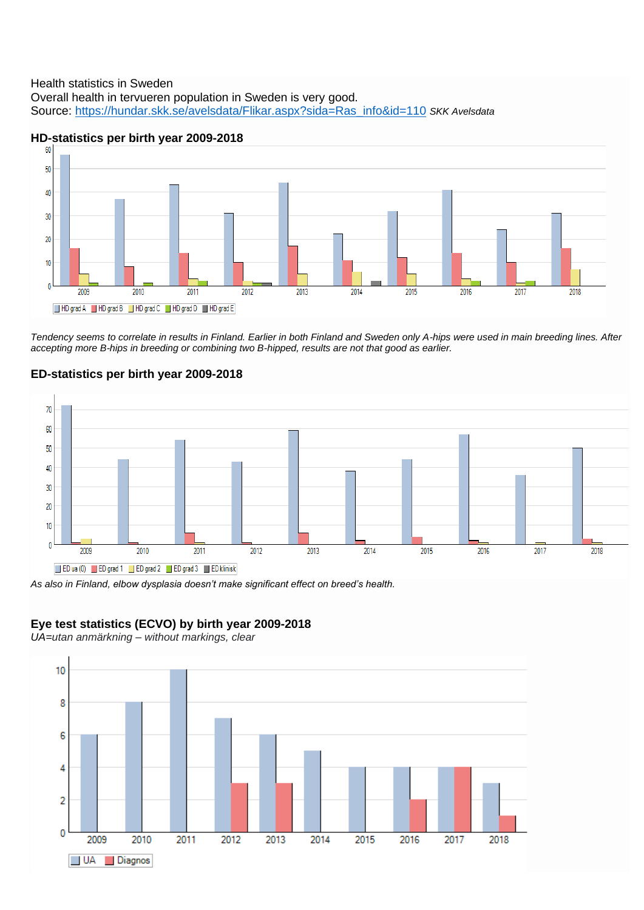### Health statistics in Sweden Overall health in tervueren population in Sweden is very good. Source: https://hundar.skk.se/avelsdata/Flikar.aspx?sida=Ras\_info&id=110 *SKK Avelsdata*



# **HD-statistics per birth year 2009-2018**

*Tendency seems to correlate in results in Finland. Earlier in both Finland and Sweden only A-hips were used in main breeding lines. After accepting more B-hips in breeding or combining two B-hipped, results are not that good as earlier.*

#### $70$ 60 50 40 30 20  $10$  $\theta$  $\frac{1}{2010}$  $\frac{1}{2012}$ 2009 2011 2013 2014 2015 2016 2017 2018 ED ua (0) ED grad 1 ED grad 2 ED grad 3 ED klinisk

# **ED-statistics per birth year 2009-2018**

*As also in Finland, elbow dysplasia doesn't make significant effect on breed's health.*

# **Eye test statistics (ECVO) by birth year 2009-2018**

*UA=utan anmärkning – without markings, clear*

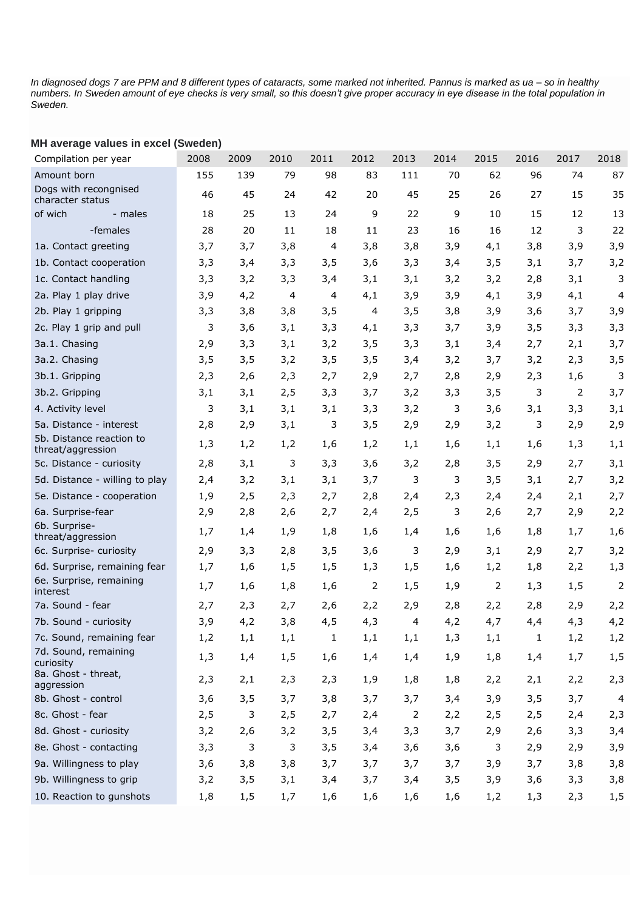*In diagnosed dogs 7 are PPM and 8 different types of cataracts, some marked not inherited. Pannus is marked as ua – so in healthy numbers. In Sweden amount of eye checks is very small, so this doesn't give proper accuracy in eye disease in the total population in Sweden.* 

| iiii average values ili excel (Owedell)       |      |      |      |                |      |                |      |      |      |      |                |
|-----------------------------------------------|------|------|------|----------------|------|----------------|------|------|------|------|----------------|
| Compilation per year                          | 2008 | 2009 | 2010 | 2011           | 2012 | 2013           | 2014 | 2015 | 2016 | 2017 | 2018           |
| Amount born                                   | 155  | 139  | 79   | 98             | 83   | 111            | 70   | 62   | 96   | 74   | 87             |
| Dogs with recongnised<br>character status     | 46   | 45   | 24   | 42             | 20   | 45             | 25   | 26   | 27   | 15   | 35             |
| of wich<br>- males                            | 18   | 25   | 13   | 24             | 9    | 22             | 9    | 10   | 15   | 12   | 13             |
| -females                                      | 28   | 20   | 11   | 18             | 11   | 23             | 16   | 16   | 12   | 3    | 22             |
| 1a. Contact greeting                          | 3,7  | 3,7  | 3,8  | $\overline{4}$ | 3,8  | 3,8            | 3,9  | 4,1  | 3,8  | 3,9  | 3,9            |
| 1b. Contact cooperation                       | 3,3  | 3,4  | 3,3  | 3,5            | 3,6  | 3,3            | 3,4  | 3,5  | 3,1  | 3,7  | 3,2            |
| 1c. Contact handling                          | 3,3  | 3,2  | 3,3  | 3,4            | 3,1  | 3,1            | 3,2  | 3,2  | 2,8  | 3,1  | 3              |
| 2a. Play 1 play drive                         | 3,9  | 4,2  | 4    | 4              | 4,1  | 3,9            | 3,9  | 4,1  | 3,9  | 4,1  | 4              |
| 2b. Play 1 gripping                           | 3,3  | 3,8  | 3,8  | 3,5            | 4    | 3,5            | 3,8  | 3,9  | 3,6  | 3,7  | 3,9            |
| 2c. Play 1 grip and pull                      | 3    | 3,6  | 3,1  | 3,3            | 4,1  | 3,3            | 3,7  | 3,9  | 3,5  | 3,3  | 3,3            |
| 3a.1. Chasing                                 | 2,9  | 3,3  | 3,1  | 3,2            | 3,5  | 3,3            | 3,1  | 3,4  | 2,7  | 2,1  | 3,7            |
| 3a.2. Chasing                                 | 3,5  | 3,5  | 3,2  | 3,5            | 3,5  | 3,4            | 3,2  | 3,7  | 3,2  | 2,3  | 3,5            |
| 3b.1. Gripping                                | 2,3  | 2,6  | 2,3  | 2,7            | 2,9  | 2,7            | 2,8  | 2,9  | 2,3  | 1,6  | 3              |
| 3b.2. Gripping                                | 3,1  | 3,1  | 2,5  | 3,3            | 3,7  | 3,2            | 3,3  | 3,5  | 3    | 2    | 3,7            |
| 4. Activity level                             | 3    | 3,1  | 3,1  | 3,1            | 3,3  | 3,2            | 3    | 3,6  | 3,1  | 3,3  | 3,1            |
| 5a. Distance - interest                       | 2,8  | 2,9  | 3,1  | 3              | 3,5  | 2,9            | 2,9  | 3,2  | 3    | 2,9  | 2,9            |
| 5b. Distance reaction to<br>threat/aggression | 1,3  | 1,2  | 1,2  | 1,6            | 1,2  | 1,1            | 1,6  | 1,1  | 1,6  | 1,3  | 1,1            |
| 5c. Distance - curiosity                      | 2,8  | 3,1  | 3    | 3,3            | 3,6  | 3,2            | 2,8  | 3,5  | 2,9  | 2,7  | 3,1            |
| 5d. Distance - willing to play                | 2,4  | 3,2  | 3,1  | 3,1            | 3,7  | 3              | 3    | 3,5  | 3,1  | 2,7  | 3,2            |
| 5e. Distance - cooperation                    | 1,9  | 2,5  | 2,3  | 2,7            | 2,8  | 2,4            | 2,3  | 2,4  | 2,4  | 2,1  | 2,7            |
| 6a. Surprise-fear                             | 2,9  | 2,8  | 2,6  | 2,7            | 2,4  | 2,5            | 3    | 2,6  | 2,7  | 2,9  | 2,2            |
| 6b. Surprise-<br>threat/aggression            | 1,7  | 1,4  | 1,9  | 1,8            | 1,6  | 1,4            | 1,6  | 1,6  | 1,8  | 1,7  | 1,6            |
| 6c. Surprise- curiosity                       | 2,9  | 3,3  | 2,8  | 3,5            | 3,6  | 3              | 2,9  | 3,1  | 2,9  | 2,7  | 3,2            |
| 6d. Surprise, remaining fear                  | 1,7  | 1,6  | 1,5  | 1,5            | 1,3  | 1,5            | 1,6  | 1,2  | 1,8  | 2,2  | 1,3            |
| 6e. Surprise, remaining<br>interest           | 1,7  | 1,6  | 1,8  | 1,6            | 2    | 1,5            | 1,9  | 2    | 1,3  | 1,5  | $\overline{2}$ |
| 7a. Sound - fear                              | 2,7  | 2,3  | 2,7  | 2,6            | 2,2  | 2,9            | 2,8  | 2,2  | 2,8  | 2,9  | 2,2            |
| 7b. Sound - curiosity                         | 3,9  | 4,2  | 3,8  | 4,5            | 4,3  | 4              | 4,2  | 4,7  | 4,4  | 4,3  | 4,2            |
| 7c. Sound, remaining fear                     | 1,2  | 1,1  | 1,1  | 1              | 1,1  | 1,1            | 1,3  | 1,1  | 1    | 1,2  | 1,2            |
| 7d. Sound, remaining<br>curiosity             | 1,3  | 1,4  | 1, 5 | 1,6            | 1,4  | 1,4            | 1,9  | 1,8  | 1,4  | 1,7  | 1, 5           |
| 8a. Ghost - threat,<br>aggression             | 2,3  | 2,1  | 2,3  | 2,3            | 1,9  | 1,8            | 1,8  | 2,2  | 2,1  | 2,2  | 2,3            |
| 8b. Ghost - control                           | 3,6  | 3,5  | 3,7  | 3,8            | 3,7  | 3,7            | 3,4  | 3,9  | 3,5  | 3,7  | 4              |
| 8c. Ghost - fear                              | 2,5  | 3    | 2,5  | 2,7            | 2,4  | $\overline{2}$ | 2,2  | 2,5  | 2,5  | 2,4  | 2,3            |
| 8d. Ghost - curiosity                         | 3,2  | 2,6  | 3,2  | 3,5            | 3,4  | 3,3            | 3,7  | 2,9  | 2,6  | 3,3  | 3,4            |
| 8e. Ghost - contacting                        | 3,3  | 3    | 3    | 3,5            | 3,4  | 3,6            | 3,6  | 3    | 2,9  | 2,9  | 3,9            |
| 9a. Willingness to play                       | 3,6  | 3,8  | 3,8  | 3,7            | 3,7  | 3,7            | 3,7  | 3,9  | 3,7  | 3,8  | 3,8            |
| 9b. Willingness to grip                       | 3,2  | 3,5  | 3,1  | 3,4            | 3,7  | 3,4            | 3,5  | 3,9  | 3,6  | 3,3  | 3,8            |
| 10. Reaction to gunshots                      | 1,8  | 1,5  | 1,7  | 1,6            | 1,6  | 1,6            | 1,6  | 1,2  | 1,3  | 2,3  | 1,5            |

### **MH average values in excel (Sweden)**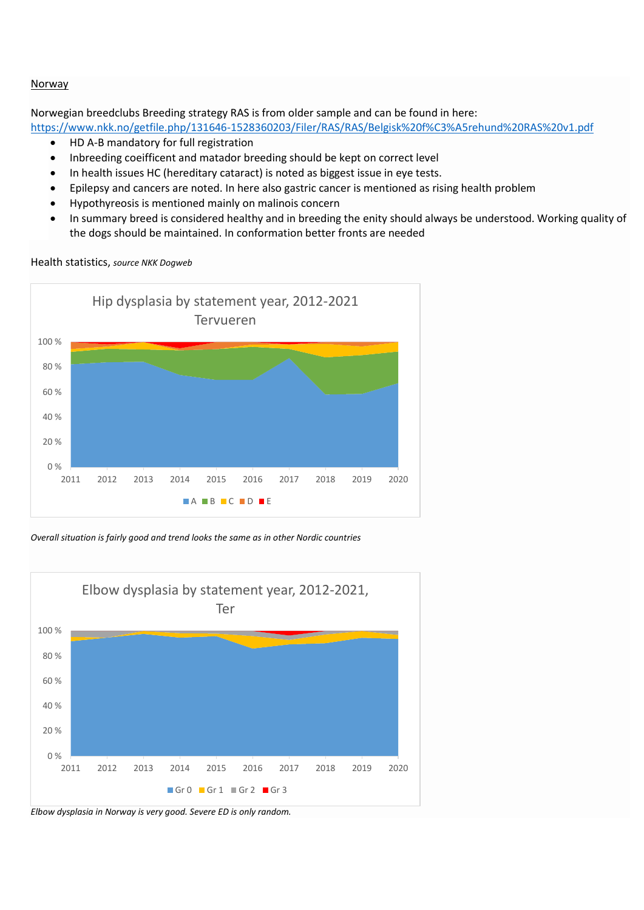### Norway

Norwegian breedclubs Breeding strategy RAS is from older sample and can be found in here:

https://www.nkk.no/getfile.php/131646-1528360203/Filer/RAS/RAS/Belgisk%20f%C3%A5rehund%20RAS%20v1.pdf

- HD A-B mandatory for full registration
- Inbreeding coeifficent and matador breeding should be kept on correct level
- In health issues HC (hereditary cataract) is noted as biggest issue in eye tests.
- Epilepsy and cancers are noted. In here also gastric cancer is mentioned as rising health problem
- Hypothyreosis is mentioned mainly on malinois concern
- In summary breed is considered healthy and in breeding the enity should always be understood. Working quality of the dogs should be maintained. In conformation better fronts are needed

Health statistics, *source NKK Dogweb*



*Overall situation is fairly good and trend looks the same as in other Nordic countries*



*Elbow dysplasia in Norway is very good. Severe ED is only random.*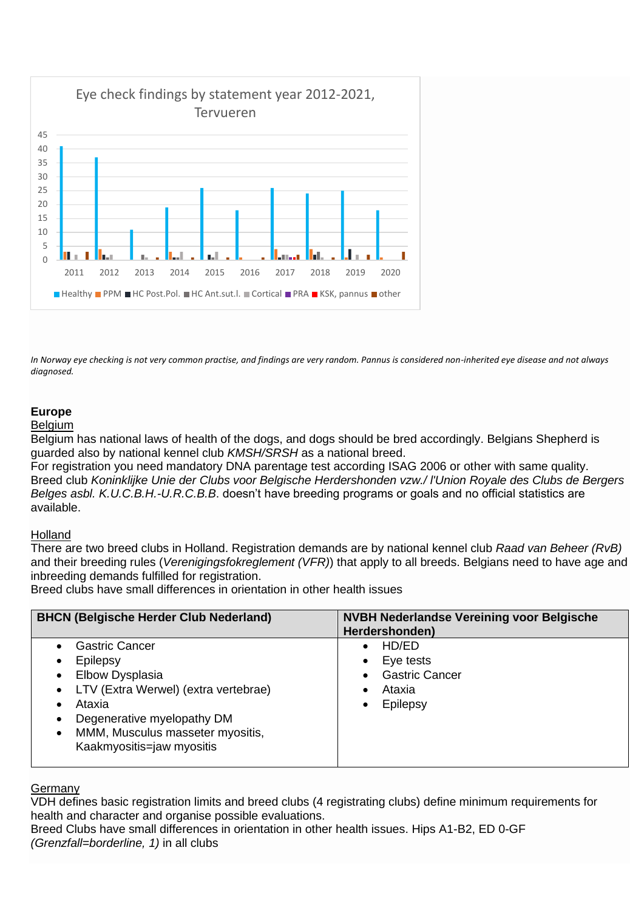

*In Norway eye checking is not very common practise, and findings are very random. Pannus is considered non-inherited eye disease and not always diagnosed.*

# **Europe**

### Belgium

Belgium has national laws of health of the dogs, and dogs should be bred accordingly. Belgians Shepherd is guarded also by national kennel club *KMSH/SRSH* as a national breed.

For registration you need mandatory DNA parentage test according ISAG 2006 or other with same quality. Breed club *Koninklijke Unie der Clubs voor Belgische Herdershonden vzw./ l'Union Royale des Clubs de Bergers Belges asbl. K.U.C.B.H.-U.R.C.B.B*. doesn't have breeding programs or goals and no official statistics are available.

# **Holland**

There are two breed clubs in Holland. Registration demands are by national kennel club *Raad van Beheer (RvB)* and their breeding rules (*Verenigingsfokreglement (VFR)*) that apply to all breeds. Belgians need to have age and inbreeding demands fulfilled for registration.

Breed clubs have small differences in orientation in other health issues

| <b>BHCN (Belgische Herder Club Nederland)</b>                                                                                                                                                                                                          | <b>NVBH Nederlandse Vereining voor Belgische</b><br>Herdershonden) |
|--------------------------------------------------------------------------------------------------------------------------------------------------------------------------------------------------------------------------------------------------------|--------------------------------------------------------------------|
| <b>Gastric Cancer</b><br>Epilepsy<br>Elbow Dysplasia<br>$\bullet$<br>LTV (Extra Werwel) (extra vertebrae)<br>$\bullet$<br>Ataxia<br>٠<br>Degenerative myelopathy DM<br>٠<br>MMM, Musculus masseter myositis,<br>$\bullet$<br>Kaakmyositis=jaw myositis | HD/ED<br>Eye tests<br><b>Gastric Cancer</b><br>Ataxia<br>Epilepsy  |

### **Germany**

VDH defines basic registration limits and breed clubs (4 registrating clubs) define minimum requirements for health and character and organise possible evaluations.

Breed Clubs have small differences in orientation in other health issues. Hips A1-B2, ED 0-GF *(Grenzfall=borderline, 1)* in all clubs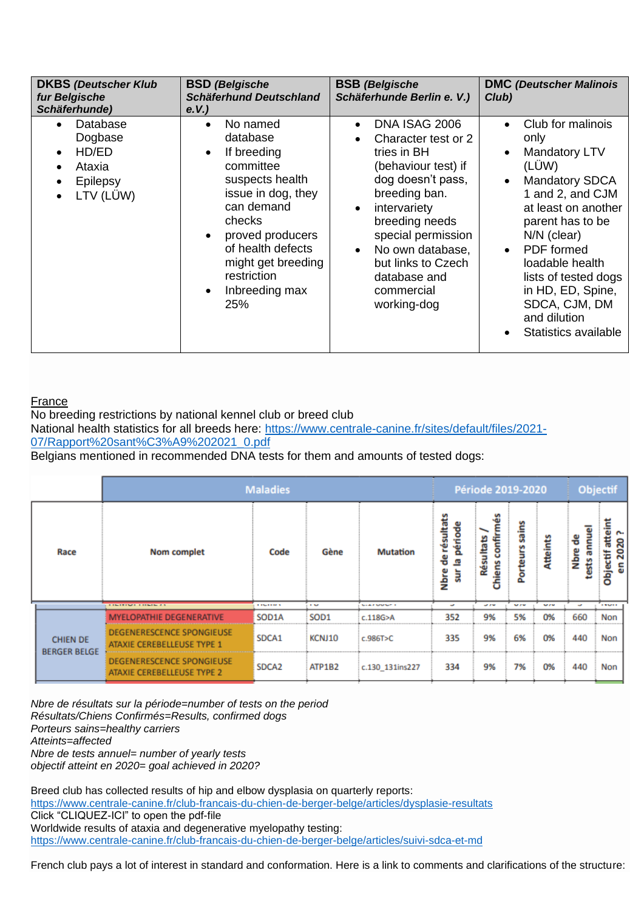| <b>DKBS (Deutscher Klub</b><br>fur Belgische<br>Schäferhunde)                                                                    | <b>BSD</b> (Belgische<br><b>Schäferhund Deutschland</b><br>e.V.                                                                                                                                                                                                 | <b>BSB</b> (Belgische<br>Schäferhunde Berlin e. V.)                                                                                                                                                                                                                                       | <b>DMC</b> (Deutscher Malinois<br>Club)                                                                                                                                                                                                                                                                                                                 |
|----------------------------------------------------------------------------------------------------------------------------------|-----------------------------------------------------------------------------------------------------------------------------------------------------------------------------------------------------------------------------------------------------------------|-------------------------------------------------------------------------------------------------------------------------------------------------------------------------------------------------------------------------------------------------------------------------------------------|---------------------------------------------------------------------------------------------------------------------------------------------------------------------------------------------------------------------------------------------------------------------------------------------------------------------------------------------------------|
| Database<br>$\bullet$<br>Dogbase<br>HD/ED<br>$\bullet$<br>Ataxia<br>$\bullet$<br>Epilepsy<br>$\bullet$<br>LTV (LÜW)<br>$\bullet$ | No named<br>$\bullet$<br>database<br>If breeding<br>$\bullet$<br>committee<br>suspects health<br>issue in dog, they<br>can demand<br>checks<br>proved producers<br>of health defects<br>might get breeding<br>restriction<br>Inbreeding max<br>$\bullet$<br>25% | DNA ISAG 2006<br>$\bullet$<br>Character test or 2<br>tries in BH<br>(behaviour test) if<br>dog doesn't pass,<br>breeding ban.<br>intervariety<br>$\bullet$<br>breeding needs<br>special permission<br>No own database,<br>but links to Czech<br>database and<br>commercial<br>working-dog | Club for malinois<br>$\bullet$<br>only<br>Mandatory LTV<br>$\bullet$<br>(LÜW)<br><b>Mandatory SDCA</b><br>$\bullet$<br>1 and 2, and CJM<br>at least on another<br>parent has to be<br>$N/N$ (clear)<br>PDF formed<br>$\bullet$<br>loadable health<br>lists of tested dogs<br>in HD, ED, Spine,<br>SDCA, CJM, DM<br>and dilution<br>Statistics available |

# France

No breeding restrictions by national kennel club or breed club National health statistics for all breeds here: https://www.centrale-canine.fr/sites/default/files/2021- 07/Rapport%20sant%C3%A9%202021\_0.pdf Belgians mentioned in recommended DNA tests for them and amounts of tested dogs:

|      |                                        | <b>Maladies</b>                                                |                 |                  |                               |                                                  | Période 2019-2020            |                   |            |                        | Objectif                            |  |
|------|----------------------------------------|----------------------------------------------------------------|-----------------|------------------|-------------------------------|--------------------------------------------------|------------------------------|-------------------|------------|------------------------|-------------------------------------|--|
| Race |                                        | <b>Nom complet</b>                                             | Code            | Gène             | <b>Mutation</b>               | de résultats<br>période<br>粵<br><b>Nbre</b><br>ä | confir<br>ē<br>Résu<br>hiens | sains<br>Porteurs | Atteints   | ests annuel<br>Nbre de | Objectif atteint<br>r.<br>2020<br>듮 |  |
|      |                                        | <b>CONTROL CONTRACTOR</b>                                      | <b>TIMETERS</b> | <b>TEM</b>       | <b>South A. Mark Story of</b> | ٠                                                | <b>START</b>                 | <b>MAY AT ME</b>  | <b>MAM</b> | ٠                      | <b>EXMER</b>                        |  |
|      |                                        | <b>FLOPATHIE DEGENERATIVE</b>                                  | SOD1A           | SOD <sub>1</sub> | c.118G>A                      | 352                                              | 9%                           | 5%                | 0%         | 660                    | Non                                 |  |
|      | <b>CHIEN DE</b><br><b>BERGER BELGE</b> | <b>DEGENERESCENCE SPONGIEUSE</b><br>ATAXIE CEREBELLEUSE TYPE 1 | SDCA1           | KCNJ10           | c.986T>C                      | 335                                              | 9%                           | 6%                | 0%         | 440                    | Non                                 |  |
|      |                                        | <b>DEGENERESCENCE SPONGIEUSE</b><br>ATAXIE CEREBELLEUSE TYPE 2 | SDCA2           | ATP1B2           | c.130 131ins227               | 334                                              | 9%                           | 7%                | 0%         | 440                    | Non                                 |  |

*Nbre de résultats sur la période=number of tests on the period Résultats/Chiens Confirmés=Results, confirmed dogs Porteurs sains=healthy carriers Atteints=affected Nbre de tests annuel= number of yearly tests objectif atteint en 2020= goal achieved in 2020?*

Breed club has collected results of hip and elbow dysplasia on quarterly reports: https://www.centrale-canine.fr/club-francais-du-chien-de-berger-belge/articles/dysplasie-resultats Click "CLIQUEZ-ICI" to open the pdf-file Worldwide results of ataxia and degenerative myelopathy testing: https://www.centrale-canine.fr/club-francais-du-chien-de-berger-belge/articles/suivi-sdca-et-md

French club pays a lot of interest in standard and conformation. Here is a link to comments and clarifications of the structure: